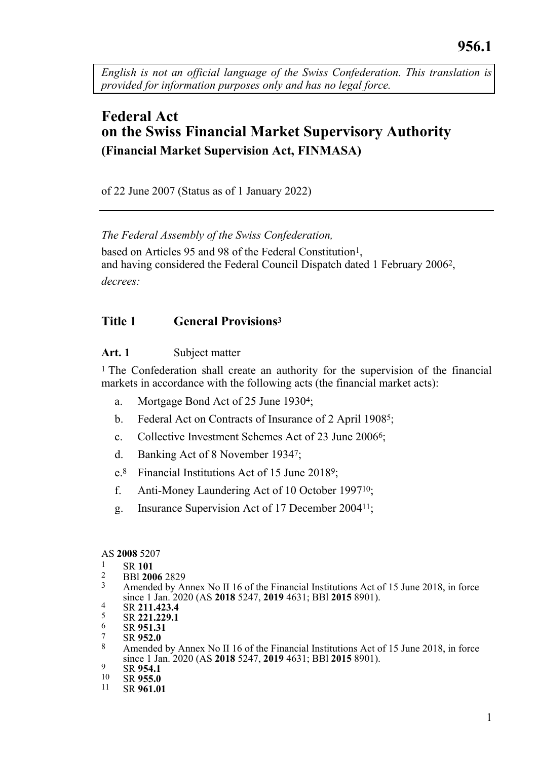<span id="page-0-0"></span>*English is not an official language of the Swiss Confederation. This translation is provided for information purposes only and has no legal force.*

# **Federal Act on the Swiss Financial Market Supervisory Authority (Financial Market Supervision Act, FINMASA)**

of 22 June 2007 (Status as of 1 January 2022)

*The Federal Assembly of the Swiss Confederation,* based on Articles 95 and 98 of the Federal Constitution<sup>1</sup>. and having considered the Federal Council Dispatch dated 1 February 20062, *decrees:*

## **Title 1 General Provisions<sup>3</sup>**

## **Art. 1** Subject matter

1 The Confederation shall create an authority for the supervision of the financial markets in accordance with the following acts (the financial market acts):

- a. Mortgage Bond Act of 25 June 19304;
- b. Federal Act on Contracts of Insurance of 2 April 19085;
- c. Collective Investment Schemes Act of 23 June 20066;
- d. Banking Act of 8 November 19347;
- e.8 Financial Institutions Act of 15 June 20189;
- f. Anti-Money Laundering Act of 10 October 199710;
- g. Insurance Supervision Act of 17 December 200411;

#### AS **2008** 5207

# $\frac{1}{2}$  SR 101

- 2 BBl **2006** 2829
- Amended by Annex No II 16 of the Financial Institutions Act of 15 June 2018, in force since 1 Jan. 2020 (AS **2018** 5247, **2019** 4631; BBl **2015** 8901).
- 4 SR 211.423.4
- $rac{5}{6}$  SR **221.229.1**
- $^{6}$  SR  $^{9}$ 51.31
- 7 SR **952.0**
- 8 Amended by Annex No II 16 of the Financial Institutions Act of 15 June 2018, in force since 1 Jan. 2020 (AS **2018** 5247, **2019** 4631; BBl **2015** 8901).
- $^{9}$  SR 954.1
- $^{10}$  SR **955.0**<br> $^{11}$  SR **961.0**
- 11 SR **961.01**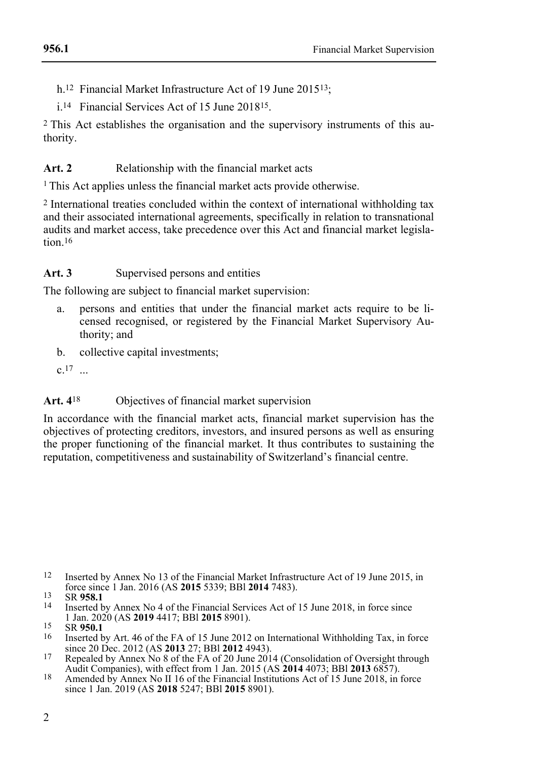- h.12 Financial Market Infrastructure Act of 19 June 201513;
- i.14 Financial Services Act of 15 June 201815.

2 This Act establishes the organisation and the supervisory instruments of this authority.

## Art. 2 Relationship with the financial market acts

<sup>1</sup>This Act applies unless the financial market acts provide otherwise.

2 International treaties concluded within the context of international withholding tax and their associated international agreements, specifically in relation to transnational audits and market access, take precedence over this Act and financial market legislation 16

## Art. 3 Supervised persons and entities

The following are subject to financial market supervision:

- a. persons and entities that under the financial market acts require to be licensed recognised, or registered by the Financial Market Supervisory Authority; and
- b. collective capital investments;

 $c.17$  ...

## Art. 4<sup>18</sup> Objectives of financial market supervision

In accordance with the financial market acts, financial market supervision has the objectives of protecting creditors, investors, and insured persons as well as ensuring the proper functioning of the financial market. It thus contributes to sustaining the reputation, competitiveness and sustainability of Switzerland's financial centre.

<sup>12</sup> Inserted by Annex No 13 of the Financial Market Infrastructure Act of 19 June 2015, in force since 1 Jan. 2016 (AS **2015** 5339; BBl **2014** 7483).

<sup>13</sup> SR **958.1**

Inserted by Annex No 4 of the Financial Services Act of 15 June 2018, in force since 1 Jan. 2020 (AS **2019** 4417; BBl **2015** 8901).

<sup>15</sup> SR **950.1**

<sup>16</sup> Inserted by Art. 46 of the FA of 15 June 2012 on International Withholding Tax, in force since 20 Dec. 2012 (AS **2013** 27; BBl **2012** 4943).

<sup>17</sup> Repealed by Annex No 8 of the FA of 20 June 2014 (Consolidation of Oversight through Audit Companies), with effect from 1 Jan. 2015 (AS **2014** 4073; BBl **2013** 6857).

<sup>18</sup> Amended by Annex No II 16 of the Financial Institutions Act of 15 June 2018, in force since 1 Jan. 2019 (AS **2018** 5247; BBl **2015** 8901).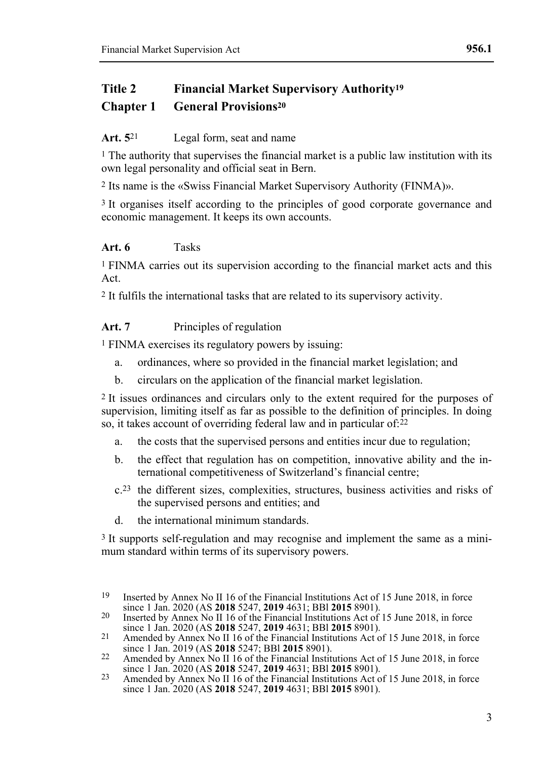## **Title 2 Financial Market Supervisory Authority<sup>19</sup> Chapter 1 General Provisions<sup>20</sup>**

## **Art. 5**21 Legal form, seat and name

 $<sup>1</sup>$  The authority that supervises the financial market is a public law institution with its</sup> own legal personality and official seat in Bern.

2 Its name is the «Swiss Financial Market Supervisory Authority (FINMA)».

3 It organises itself according to the principles of good corporate governance and economic management. It keeps its own accounts.

## **Art. 6** Tasks

1 FINMA carries out its supervision according to the financial market acts and this Act.

2 It fulfils the international tasks that are related to its supervisory activity.

## **Art. 7** Principles of regulation

1 FINMA exercises its regulatory powers by issuing:

- a. ordinances, where so provided in the financial market legislation; and
- b. circulars on the application of the financial market legislation.

2 It issues ordinances and circulars only to the extent required for the purposes of supervision, limiting itself as far as possible to the definition of principles. In doing so, it takes account of overriding federal law and in particular of:22

- a. the costs that the supervised persons and entities incur due to regulation;
- b. the effect that regulation has on competition, innovative ability and the international competitiveness of Switzerland's financial centre;
- c.23 the different sizes, complexities, structures, business activities and risks of the supervised persons and entities; and
- d. the international minimum standards.

3 It supports self-regulation and may recognise and implement the same as a minimum standard within terms of its supervisory powers.

<sup>19</sup> Inserted by Annex No II 16 of the Financial Institutions Act of 15 June 2018, in force since 1 Jan. 2020 (AS **2018** 5247, **2019** 4631; BBl **2015** 8901).

<sup>&</sup>lt;sup>20</sup> Inserted by Annex No II 16 of the Financial Institutions Act of 15 June 2018, in force since 1 Jan. 2020 (AS **2018** 5247, **2019** 4631; BBl **2015** 8901).

<sup>21</sup> Amended by Annex No II 16 of the Financial Institutions Act of 15 June 2018, in force since 1 Jan. 2019 (AS **2018** 5247; BBl **2015** 8901).

<sup>22</sup> Amended by Annex No II 16 of the Financial Institutions Act of 15 June 2018, in force since 1 Jan. 2020 (AS **2018** 5247, **2019** 4631; BBl **2015** 8901).

<sup>23</sup> Amended by Annex No II 16 of the Financial Institutions Act of 15 June 2018, in force since 1 Jan. 2020 (AS **2018** 5247, **2019** 4631; BBl **2015** 8901).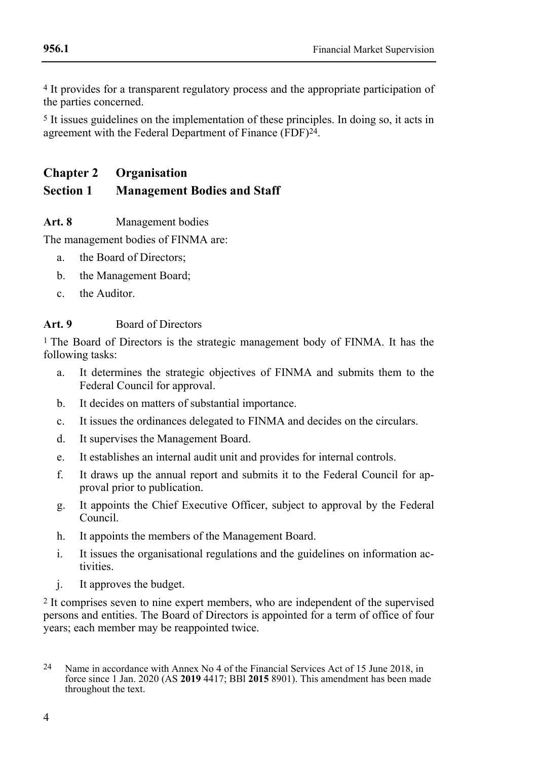4 It provides for a transparent regulatory process and the appropriate participation of the parties concerned.

5 It issues guidelines on the implementation of these principles. In doing so, it acts in agreement with the Federal Department of Finance (FDF)<sup>24</sup>.

## **Chapter 2 Organisation**

## **Section 1 Management Bodies and Staff**

## **Art. 8** Management bodies

The management bodies of FINMA are:

- a. the Board of Directors;
- b. the Management Board;
- c. the Auditor.

## **Art. 9** Board of Directors

1 The Board of Directors is the strategic management body of FINMA. It has the following tasks:

- a. It determines the strategic objectives of FINMA and submits them to the Federal Council for approval.
- b. It decides on matters of substantial importance.
- c. It issues the ordinances delegated to FINMA and decides on the circulars.
- d. It supervises the Management Board.
- e. It establishes an internal audit unit and provides for internal controls.
- f. It draws up the annual report and submits it to the Federal Council for approval prior to publication.
- g. It appoints the Chief Executive Officer, subject to approval by the Federal Council.
- h. It appoints the members of the Management Board.
- i. It issues the organisational regulations and the guidelines on information activities.
- j. It approves the budget.

2 It comprises seven to nine expert members, who are independent of the supervised persons and entities. The Board of Directors is appointed for a term of office of four years; each member may be reappointed twice.

<sup>24</sup> Name in accordance with Annex No 4 of the Financial Services Act of 15 June 2018, in force since 1 Jan. 2020 (AS **2019** 4417; BBl **2015** 8901). This amendment has been made throughout the text.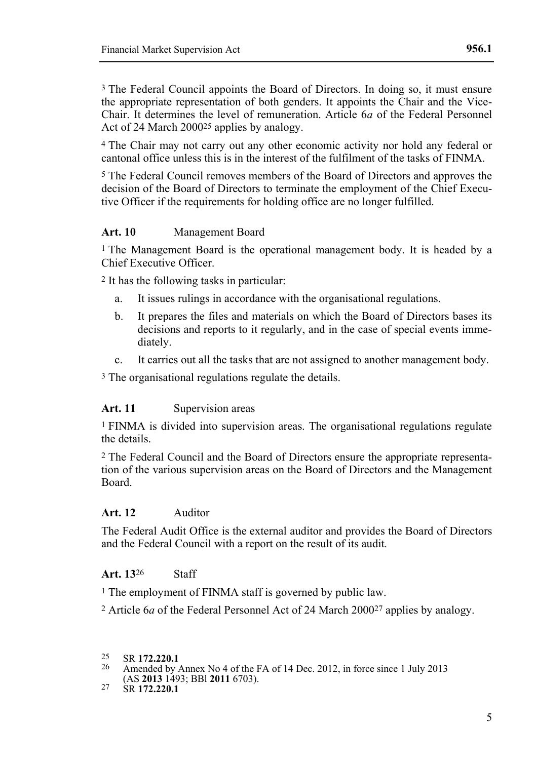3 The Federal Council appoints the Board of Directors. In doing so, it must ensure the appropriate representation of both genders. It appoints the Chair and the Vice-Chair. It determines the level of remuneration. Article 6*a* of the Federal Personnel Act of 24 March 200025 applies by analogy.

4 The Chair may not carry out any other economic activity nor hold any federal or cantonal office unless this is in the interest of the fulfilment of the tasks of FINMA.

5 The Federal Council removes members of the Board of Directors and approves the decision of the Board of Directors to terminate the employment of the Chief Executive Officer if the requirements for holding office are no longer fulfilled.

## **Art. 10** Management Board

1 The Management Board is the operational management body. It is headed by a Chief Executive Officer.

2 It has the following tasks in particular:

- a. It issues rulings in accordance with the organisational regulations.
- b. It prepares the files and materials on which the Board of Directors bases its decisions and reports to it regularly, and in the case of special events immediately.
- c. It carries out all the tasks that are not assigned to another management body.

3 The organisational regulations regulate the details.

#### **Art. 11** Supervision areas

1 FINMA is divided into supervision areas. The organisational regulations regulate the details.

2 The Federal Council and the Board of Directors ensure the appropriate representation of the various supervision areas on the Board of Directors and the Management Board.

#### **Art. 12** Auditor

The Federal Audit Office is the external auditor and provides the Board of Directors and the Federal Council with a report on the result of its audit*.*

#### **Art. 13**26 Staff

1 The employment of FINMA staff is governed by public law.

2 Article 6*a* of the Federal Personnel Act of 24 March 200027 applies by analogy.

- 25 SR **172.220.1**
- 26 Amended by Annex No 4 of the FA of 14 Dec. 2012, in force since 1 July 2013 (AS **2013** 1493; BBl **2011** 6703).

<sup>27</sup> SR **172.220.1**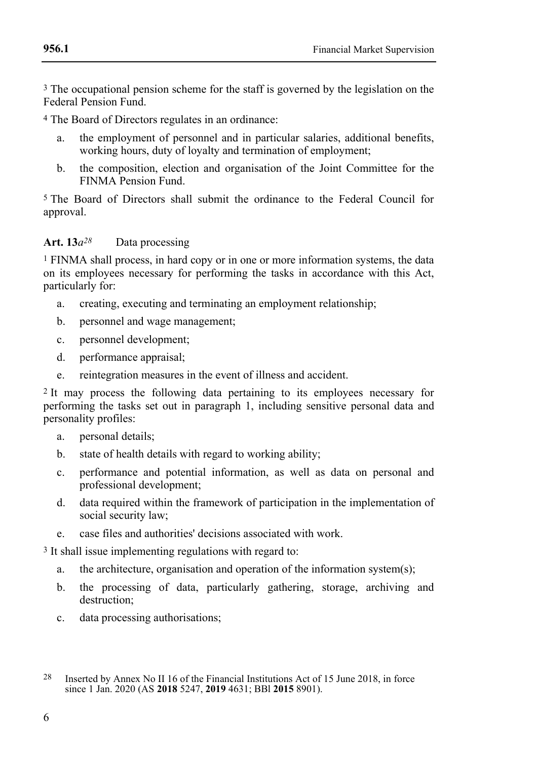3 The occupational pension scheme for the staff is governed by the legislation on the Federal Pension Fund.

4 The Board of Directors regulates in an ordinance:

- a. the employment of personnel and in particular salaries, additional benefits, working hours, duty of loyalty and termination of employment;
- b. the composition, election and organisation of the Joint Committee for the FINMA Pension Fund.

5 The Board of Directors shall submit the ordinance to the Federal Council for approval.

## **Art. 13***a28* Data processing

1 FINMA shall process, in hard copy or in one or more information systems, the data on its employees necessary for performing the tasks in accordance with this Act, particularly for:

- a. creating, executing and terminating an employment relationship;
- b. personnel and wage management;
- c. personnel development;
- d. performance appraisal;
- e. reintegration measures in the event of illness and accident.

2 It may process the following data pertaining to its employees necessary for performing the tasks set out in paragraph 1, including sensitive personal data and personality profiles:

- a. personal details;
- b. state of health details with regard to working ability;
- c. performance and potential information, as well as data on personal and professional development;
- d. data required within the framework of participation in the implementation of social security law;
- e. case files and authorities' decisions associated with work.

3 It shall issue implementing regulations with regard to:

- a. the architecture, organisation and operation of the information system(s);
- b. the processing of data, particularly gathering, storage, archiving and destruction;
- c. data processing authorisations;

<sup>28</sup> Inserted by Annex No II 16 of the Financial Institutions Act of 15 June 2018, in force since 1 Jan. 2020 (AS **2018** 5247, **2019** 4631; BBl **2015** 8901).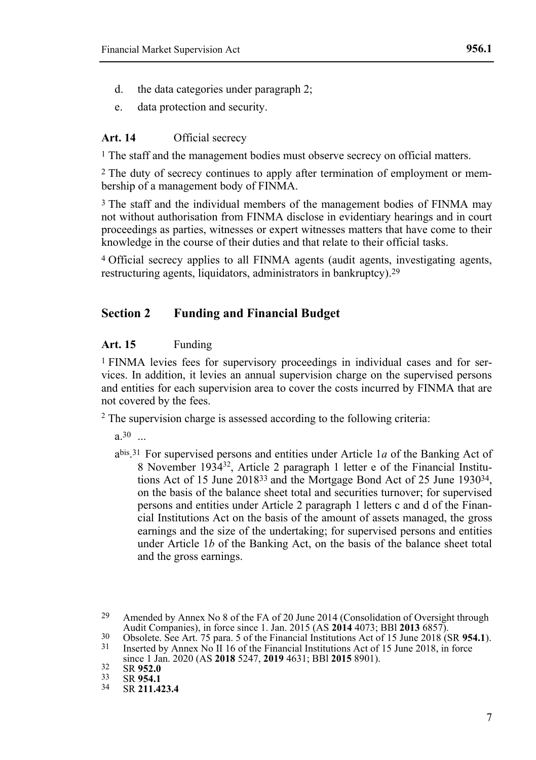- d. the data categories under paragraph 2;
- e. data protection and security.

#### **Art. 14** Official secrecy

<sup>1</sup> The staff and the management bodies must observe secrecy on official matters.

2 The duty of secrecy continues to apply after termination of employment or membership of a management body of FINMA.

3 The staff and the individual members of the management bodies of FINMA may not without authorisation from FINMA disclose in evidentiary hearings and in court proceedings as parties, witnesses or expert witnesses matters that have come to their knowledge in the course of their duties and that relate to their official tasks.

4 Official secrecy applies to all FINMA agents (audit agents, investigating agents, restructuring agents, liquidators, administrators in bankruptcy).29

## **Section 2 Funding and Financial Budget**

#### **Art. 15** Funding

1 FINMA levies fees for supervisory proceedings in individual cases and for services. In addition, it levies an annual supervision charge on the supervised persons and entities for each supervision area to cover the costs incurred by FINMA that are not covered by the fees.

<sup>2</sup> The supervision charge is assessed according to the following criteria:

 $a.30$  ...

abis . 31 For supervised persons and entities under Article 1*a* of the Banking Act of 8 November 193432, Article 2 paragraph 1 letter e of the Financial Institutions Act of 15 June 201833 and the Mortgage Bond Act of 25 June 193034, on the basis of the balance sheet total and securities turnover; for supervised persons and entities under Article 2 paragraph 1 letters c and d of the Financial Institutions Act on the basis of the amount of assets managed, the gross earnings and the size of the undertaking; for supervised persons and entities under Article 1*b* of the Banking Act, on the basis of the balance sheet total and the gross earnings.

<sup>29</sup> Amended by Annex No 8 of the FA of 20 June 2014 (Consolidation of Oversight through Audit Companies), in force since 1. Jan. 2015 (AS **2014** 4073; BBl **2013** 6857).

<sup>30</sup> Obsolete. See Art. 75 para. 5 of the Financial Institutions Act of 15 June 2018 (SR **954.1**).

Inserted by Annex No II 16 of the Financial Institutions Act of 15 June 2018, in force since 1 Jan. 2020 (AS **2018** 5247, **2019** 4631; BBl **2015** 8901).

<sup>32</sup> SR **952.0**<br>33 SP **054.1** 

<sup>33</sup> SR **954.1**<br>34 SP 211.4

<sup>34</sup> SR **211.423.4**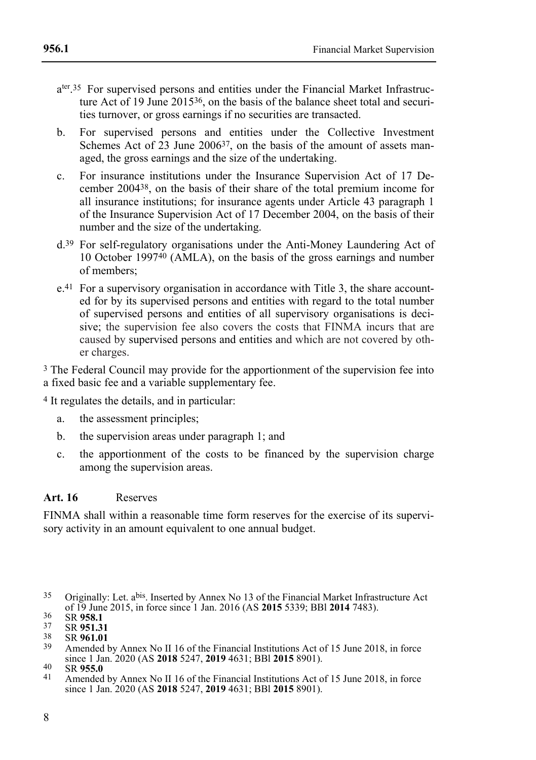- a<sup>ter 35</sup> For supervised persons and entities under the Financial Market Infrastructure Act of 19 June 201536, on the basis of the balance sheet total and securities turnover, or gross earnings if no securities are transacted.
- b. For supervised persons and entities under the Collective Investment Schemes Act of  $\overline{23}$  June 2006<sup>37</sup>, on the basis of the amount of assets managed, the gross earnings and the size of the undertaking.
- c. For insurance institutions under the Insurance Supervision Act of 17 December 200438, on the basis of their share of the total premium income for all insurance institutions; for insurance agents under Article 43 paragraph 1 of the Insurance Supervision Act of 17 December 2004, on the basis of their number and the size of the undertaking.
- d.39 For self-regulatory organisations under the Anti-Money Laundering Act of 10 October 199740 (AMLA), on the basis of the gross earnings and number of members;
- e.41 For a supervisory organisation in accordance with Title 3, the share accounted for by its supervised persons and entities with regard to the total number of supervised persons and entities of all supervisory organisations is decisive; the supervision fee also covers the costs that FINMA incurs that are caused by supervised persons and entities and which are not covered by other charges.

3 The Federal Council may provide for the apportionment of the supervision fee into a fixed basic fee and a variable supplementary fee.

4 It regulates the details, and in particular:

- a. the assessment principles;
- b. the supervision areas under paragraph 1; and
- c. the apportionment of the costs to be financed by the supervision charge among the supervision areas.

## **Art. 16** Reserves

FINMA shall within a reasonable time form reserves for the exercise of its supervisory activity in an amount equivalent to one annual budget.

<sup>35</sup> Originally: Let. abis. Inserted by Annex No 13 of the Financial Market Infrastructure Act of 19 June 2015, in force since 1 Jan. 2016 (AS **2015** 5339; BBl **2014** 7483).

<sup>36</sup> SR **958.1**<br>37 SB **051.3** 

<sup>37</sup> SR **951.31**

<sup>38</sup> SR **961.01**

Amended by Annex No II 16 of the Financial Institutions Act of 15 June 2018, in force since 1 Jan. 2020 (AS **2018** 5247, **2019** 4631; BBl **2015** 8901).

<sup>40</sup> SR **955.0**

Amended by Annex No II 16 of the Financial Institutions Act of 15 June 2018, in force since 1 Jan. 2020 (AS **2018** 5247, **2019** 4631; BBl **2015** 8901).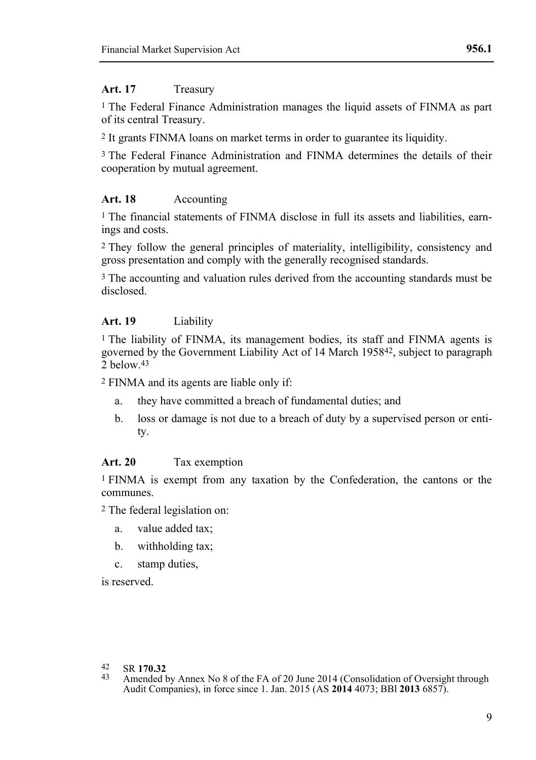#### **Art. 17** Treasury

1 The Federal Finance Administration manages the liquid assets of FINMA as part of its central Treasury.

2 It grants FINMA loans on market terms in order to guarantee its liquidity.

3 The Federal Finance Administration and FINMA determines the details of their cooperation by mutual agreement.

## **Art. 18** Accounting

1 The financial statements of FINMA disclose in full its assets and liabilities, earnings and costs.

2 They follow the general principles of materiality, intelligibility, consistency and gross presentation and comply with the generally recognised standards.

3 The accounting and valuation rules derived from the accounting standards must be disclosed.

## **Art. 19** Liability

1 The liability of FINMA, its management bodies, its staff and FINMA agents is governed by the Government Liability Act of 14 March 195842, subject to paragraph  $\frac{5}{2}$  below 43

2 FINMA and its agents are liable only if:

- a. they have committed a breach of fundamental duties; and
- b. loss or damage is not due to a breach of duty by a supervised person or entity.

## **Art. 20** Tax exemption

1 FINMA is exempt from any taxation by the Confederation, the cantons or the communes.

2 The federal legislation on:

- a. value added tax;
- b. withholding tax;
- c. stamp duties,

is reserved.

- 42 SR **170.32**
- Amended by Annex No 8 of the FA of 20 June 2014 (Consolidation of Oversight through Audit Companies), in force since 1. Jan. 2015 (AS **2014** 4073; BBl **2013** 6857).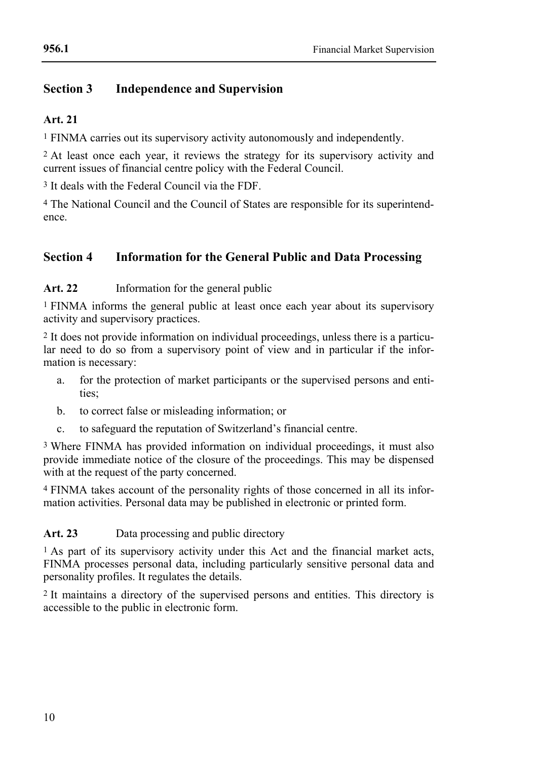## **Section 3 Independence and Supervision**

## **Art. 21**

1 FINMA carries out its supervisory activity autonomously and independently.

2 At least once each year, it reviews the strategy for its supervisory activity and current issues of financial centre policy with the Federal Council.

3 It deals with the Federal Council via the FDF.

4 The National Council and the Council of States are responsible for its superintendence.

## **Section 4 Information for the General Public and Data Processing**

**Art. 22** Information for the general public

1 FINMA informs the general public at least once each year about its supervisory activity and supervisory practices.

2 It does not provide information on individual proceedings, unless there is a particular need to do so from a supervisory point of view and in particular if the information is necessary:

- a. for the protection of market participants or the supervised persons and entities;
- b. to correct false or misleading information; or
- c. to safeguard the reputation of Switzerland's financial centre.

3 Where FINMA has provided information on individual proceedings, it must also provide immediate notice of the closure of the proceedings. This may be dispensed with at the request of the party concerned.

4 FINMA takes account of the personality rights of those concerned in all its information activities. Personal data may be published in electronic or printed form.

**Art. 23** Data processing and public directory

1 As part of its supervisory activity under this Act and the financial market acts, FINMA processes personal data, including particularly sensitive personal data and personality profiles. It regulates the details.

2 It maintains a directory of the supervised persons and entities. This directory is accessible to the public in electronic form.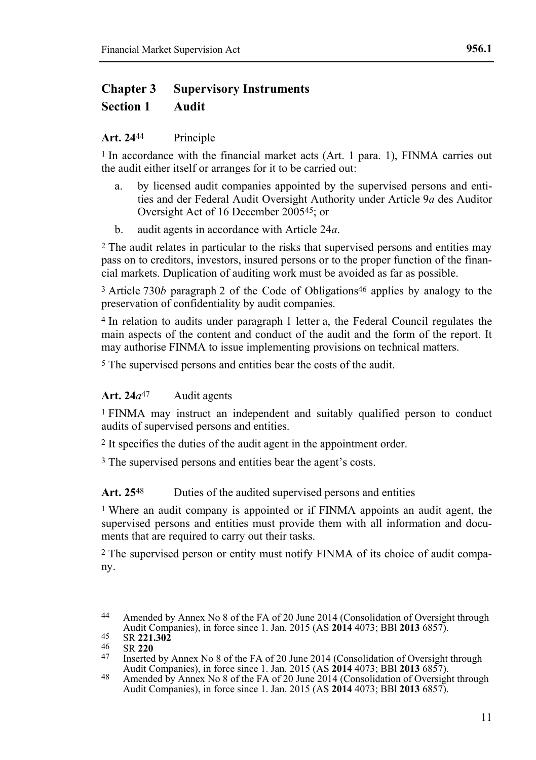# **Chapter 3 Supervisory Instruments Section 1 Audit**

## **Art. 24**44 Principle

1 In accordance with the financial market acts (Art. 1 para. 1), FINMA carries out the audit either itself or arranges for it to be carried out:

- a. by licensed audit companies appointed by the supervised persons and entities and der Federal Audit Oversight Authority under Article 9*a* des Auditor Oversight Act of 16 December 200545; or
- b. audit agents in accordance with Article 24*a*.

2 The audit relates in particular to the risks that supervised persons and entities may pass on to creditors, investors, insured persons or to the proper function of the financial markets. Duplication of auditing work must be avoided as far as possible.

<sup>3</sup> Article 730*b* paragraph 2 of the Code of Obligations<sup>46</sup> applies by analogy to the preservation of confidentiality by audit companies.

4 In relation to audits under paragraph 1 letter a, the Federal Council regulates the main aspects of the content and conduct of the audit and the form of the report. It may authorise FINMA to issue implementing provisions on technical matters.

5 The supervised persons and entities bear the costs of the audit.

## **Art. 24***a*47 Audit agents

1 FINMA may instruct an independent and suitably qualified person to conduct audits of supervised persons and entities.

2 It specifies the duties of the audit agent in the appointment order.

3 The supervised persons and entities bear the agent's costs.

## Art. 25<sup>48</sup> Duties of the audited supervised persons and entities

1 Where an audit company is appointed or if FINMA appoints an audit agent, the supervised persons and entities must provide them with all information and documents that are required to carry out their tasks.

2 The supervised person or entity must notify FINMA of its choice of audit company.

- Inserted by Annex No 8 of the FA of 20 June 2014 (Consolidation of Oversight through Audit Companies), in force since 1. Jan. 2015 (AS **2014** 4073; BBl **2013** 6857).
- 48 Amended by Annex No 8 of the FA of 20 June 2014 (Consolidation of Oversight through Audit Companies), in force since 1. Jan. 2015 (AS **2014** 4073; BBl **2013** 6857).

<sup>44</sup> Amended by Annex No 8 of the FA of 20 June 2014 (Consolidation of Oversight through Audit Companies), in force since 1. Jan. 2015 (AS **2014** 4073; BBl **2013** 6857).

<sup>45</sup> SR **221.302**

<sup>46</sup> SR **220**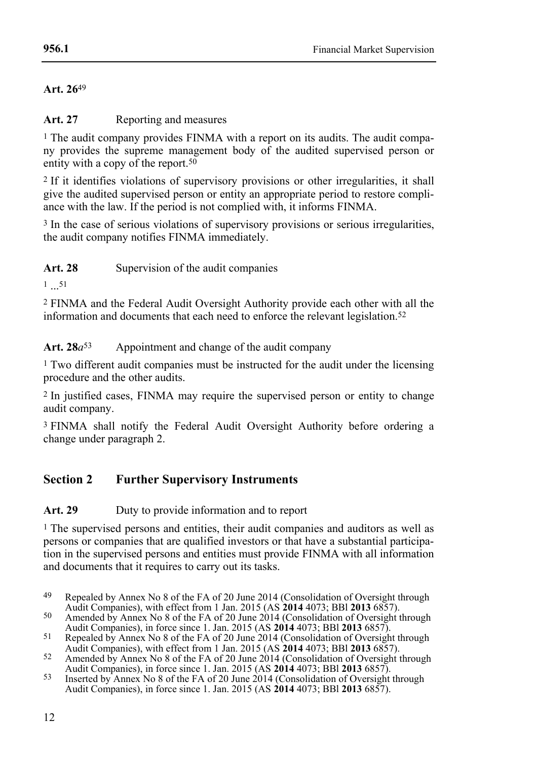**Art. 26**49

**Art. 27** Reporting and measures

<sup>1</sup> The audit company provides FINMA with a report on its audits. The audit company provides the supreme management body of the audited supervised person or entity with a copy of the report.<sup>50</sup>

2 If it identifies violations of supervisory provisions or other irregularities, it shall give the audited supervised person or entity an appropriate period to restore compliance with the law. If the period is not complied with, it informs FINMA.

<sup>3</sup> In the case of serious violations of supervisory provisions or serious irregularities, the audit company notifies FINMA immediately.

**Art. 28** Supervision of the audit companies

1 ... 51

2 FINMA and the Federal Audit Oversight Authority provide each other with all the information and documents that each need to enforce the relevant legislation.52

**Art. 28***a*53 Appointment and change of the audit company

1 Two different audit companies must be instructed for the audit under the licensing procedure and the other audits.

2 In justified cases, FINMA may require the supervised person or entity to change audit company.

3 FINMA shall notify the Federal Audit Oversight Authority before ordering a change under paragraph 2.

## **Section 2 Further Supervisory Instruments**

**Art. 29** Duty to provide information and to report

<sup>1</sup> The supervised persons and entities, their audit companies and auditors as well as persons or companies that are qualified investors or that have a substantial participation in the supervised persons and entities must provide FINMA with all information and documents that it requires to carry out its tasks.

<sup>49</sup> Repealed by Annex No 8 of the FA of 20 June 2014 (Consolidation of Oversight through Audit Companies), with effect from 1 Jan. 2015 (AS **2014** 4073; BBl **2013** 6857).

<sup>50</sup> Amended by Annex No 8 of the FA of 20 June 2014 (Consolidation of Oversight through Audit Companies), in force since 1. Jan. 2015 (AS **2014** 4073; BBl **2013** 6857).

<sup>&</sup>lt;sup>51</sup> Repealed by Annex No 8 of the FA of 20 June 2014 (Consolidation of Oversight through Audit Companies), with effect from 1 Jan. 2015 (AS **2014** 4073; BBl **2013** 6857).

<sup>52</sup> Amended by Annex No 8 of the FA of 20 June 2014 (Consolidation of Oversight through Audit Companies), in force since 1. Jan. 2015 (AS **2014** 4073; BBl **2013** 6857).

<sup>&</sup>lt;sup>53</sup> Inserted by Annex No 8 of the FA of 20 June 2014 (Consolidation of Oversight through Audit Companies), in force since 1. Jan. 2015 (AS **2014** 4073; BBl **2013** 6857).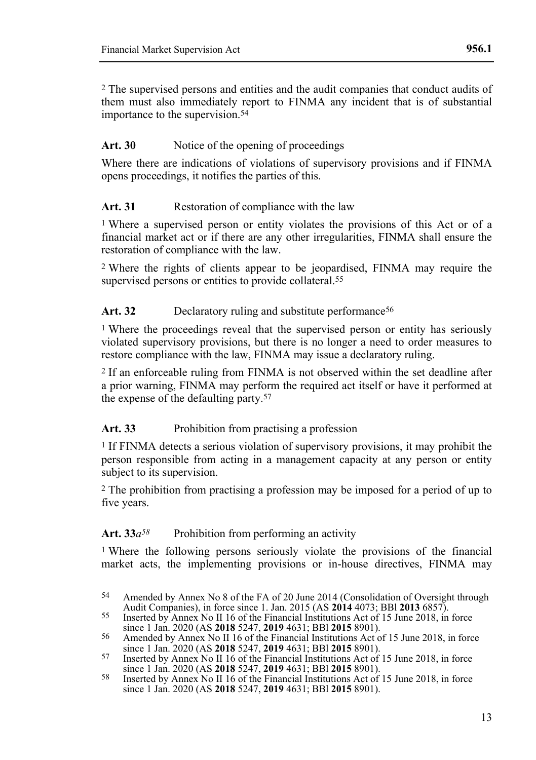2 The supervised persons and entities and the audit companies that conduct audits of them must also immediately report to FINMA any incident that is of substantial importance to the supervision.54

## Art. 30 Notice of the opening of proceedings

Where there are indications of violations of supervisory provisions and if FINMA opens proceedings, it notifies the parties of this.

## **Art. 31** Restoration of compliance with the law

1 Where a supervised person or entity violates the provisions of this Act or of a financial market act or if there are any other irregularities, FINMA shall ensure the restoration of compliance with the law.

2 Where the rights of clients appear to be jeopardised, FINMA may require the supervised persons or entities to provide collateral.<sup>55</sup>

## Art. 32 Declaratory ruling and substitute performance<sup>56</sup>

<sup>1</sup> Where the proceedings reveal that the supervised person or entity has seriously violated supervisory provisions, but there is no longer a need to order measures to restore compliance with the law, FINMA may issue a declaratory ruling.

2 If an enforceable ruling from FINMA is not observed within the set deadline after a prior warning, FINMA may perform the required act itself or have it performed at the expense of the defaulting party.57

## Art. 33 Prohibition from practising a profession

1 If FINMA detects a serious violation of supervisory provisions, it may prohibit the person responsible from acting in a management capacity at any person or entity subject to its supervision.

2 The prohibition from practising a profession may be imposed for a period of up to five years.

## Art.  $33a^{58}$  Prohibition from performing an activity

1 Where the following persons seriously violate the provisions of the financial market acts, the implementing provisions or in-house directives, FINMA may

<sup>54</sup> Amended by Annex No 8 of the FA of 20 June 2014 (Consolidation of Oversight through Audit Companies), in force since 1. Jan. 2015 (AS **2014** 4073; BBl **2013** 6857).

<sup>55</sup> Inserted by Annex No II 16 of the Financial Institutions Act of 15 June 2018, in force since 1 Jan. 2020 (AS **2018** 5247, **2019** 4631; BBl **2015** 8901).

<sup>56</sup> Amended by Annex No II 16 of the Financial Institutions Act of 15 June 2018, in force since 1 Jan. 2020 (AS **2018** 5247, **2019** 4631; BBl **2015** 8901).

<sup>57</sup> Inserted by Annex No II 16 of the Financial Institutions Act of 15 June 2018, in force since 1 Jan. 2020 (AS **2018** 5247, **2019** 4631; BBl **2015** 8901).

<sup>58</sup> Inserted by Annex No II 16 of the Financial Institutions Act of 15 June 2018, in force since 1 Jan. 2020 (AS **2018** 5247, **2019** 4631; BBl **2015** 8901).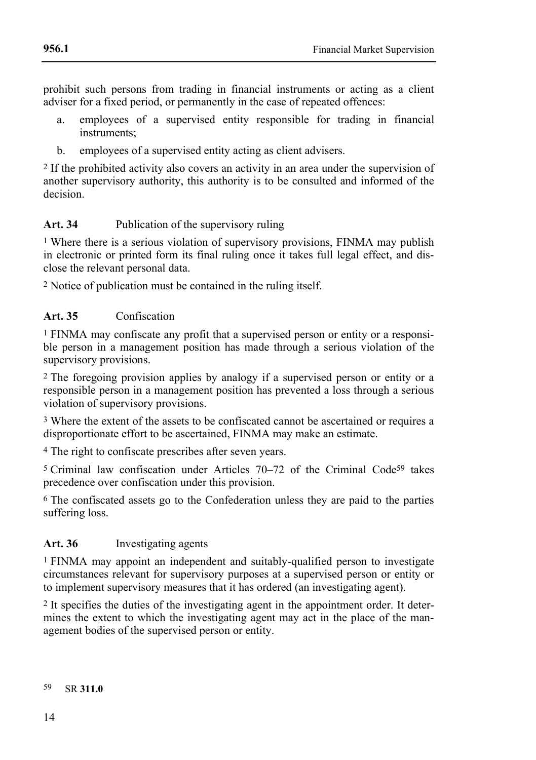prohibit such persons from trading in financial instruments or acting as a client adviser for a fixed period, or permanently in the case of repeated offences:

- a. employees of a supervised entity responsible for trading in financial instruments;
- b. employees of a supervised entity acting as client advisers.

2 If the prohibited activity also covers an activity in an area under the supervision of another supervisory authority, this authority is to be consulted and informed of the decision.

## **Art. 34** Publication of the supervisory ruling

1 Where there is a serious violation of supervisory provisions, FINMA may publish in electronic or printed form its final ruling once it takes full legal effect, and disclose the relevant personal data.

2 Notice of publication must be contained in the ruling itself.

## **Art. 35** Confiscation

1 FINMA may confiscate any profit that a supervised person or entity or a responsible person in a management position has made through a serious violation of the supervisory provisions.

2 The foregoing provision applies by analogy if a supervised person or entity or a responsible person in a management position has prevented a loss through a serious violation of supervisory provisions.

3 Where the extent of the assets to be confiscated cannot be ascertained or requires a disproportionate effort to be ascertained, FINMA may make an estimate.

4 The right to confiscate prescribes after seven years.

5 Criminal law confiscation under Articles 70–72 of the Criminal Code59 takes precedence over confiscation under this provision.

6 The confiscated assets go to the Confederation unless they are paid to the parties suffering loss.

# **Art. 36** Investigating agents

1 FINMA may appoint an independent and suitably-qualified person to investigate circumstances relevant for supervisory purposes at a supervised person or entity or to implement supervisory measures that it has ordered (an investigating agent).

2 It specifies the duties of the investigating agent in the appointment order. It determines the extent to which the investigating agent may act in the place of the management bodies of the supervised person or entity.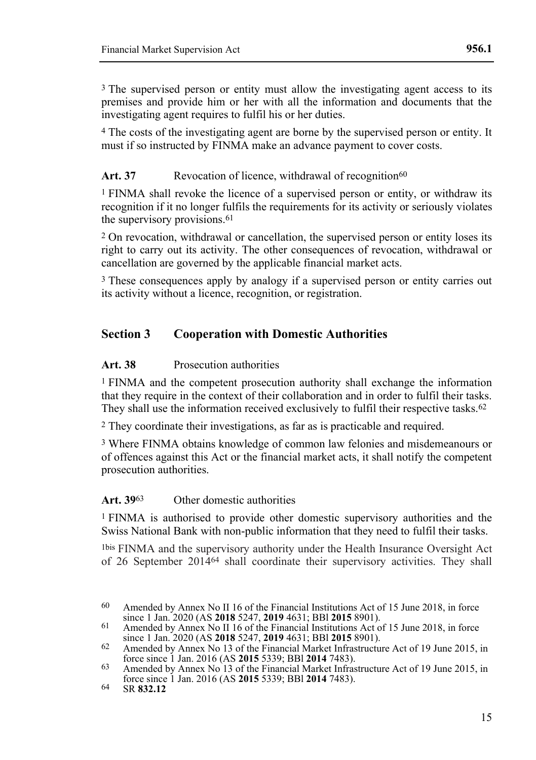<sup>3</sup> The supervised person or entity must allow the investigating agent access to its premises and provide him or her with all the information and documents that the investigating agent requires to fulfil his or her duties.

4 The costs of the investigating agent are borne by the supervised person or entity. It must if so instructed by FINMA make an advance payment to cover costs.

## Art. 37 Revocation of licence, withdrawal of recognition<sup>60</sup>

1 FINMA shall revoke the licence of a supervised person or entity, or withdraw its recognition if it no longer fulfils the requirements for its activity or seriously violates the supervisory provisions.<sup>61</sup>

2 On revocation, withdrawal or cancellation, the supervised person or entity loses its right to carry out its activity. The other consequences of revocation, withdrawal or cancellation are governed by the applicable financial market acts.

3 These consequences apply by analogy if a supervised person or entity carries out its activity without a licence, recognition, or registration.

## **Section 3 Cooperation with Domestic Authorities**

#### **Art. 38** Prosecution authorities

1 FINMA and the competent prosecution authority shall exchange the information that they require in the context of their collaboration and in order to fulfil their tasks. They shall use the information received exclusively to fulfil their respective tasks.62

2 They coordinate their investigations, as far as is practicable and required.

3 Where FINMA obtains knowledge of common law felonies and misdemeanours or of offences against this Act or the financial market acts, it shall notify the competent prosecution authorities.

**Art. 39**63 Other domestic authorities

1 FINMA is authorised to provide other domestic supervisory authorities and the Swiss National Bank with non-public information that they need to fulfil their tasks.

1bis FINMA and the supervisory authority under the Health Insurance Oversight Act of 26 September 201464 shall coordinate their supervisory activities. They shall

<sup>60</sup> Amended by Annex No II 16 of the Financial Institutions Act of 15 June 2018, in force since 1 Jan. 2020 (AS **2018** 5247, **2019** 4631; BBl **2015** 8901).

<sup>61</sup> Amended by Annex No II 16 of the Financial Institutions Act of 15 June 2018, in force since 1 Jan. 2020 (AS **2018** 5247, **2019** 4631; BBl **2015** 8901).

<sup>62</sup> Amended by Annex No 13 of the Financial Market Infrastructure Act of 19 June 2015, in force since 1 Jan. 2016 (AS **2015** 5339; BBl **2014** 7483).

<sup>63</sup> Amended by Annex No 13 of the Financial Market Infrastructure Act of 19 June 2015, in force since 1 Jan. 2016 (AS **2015** 5339; BBl **2014** 7483).

<sup>64</sup> SR **832.12**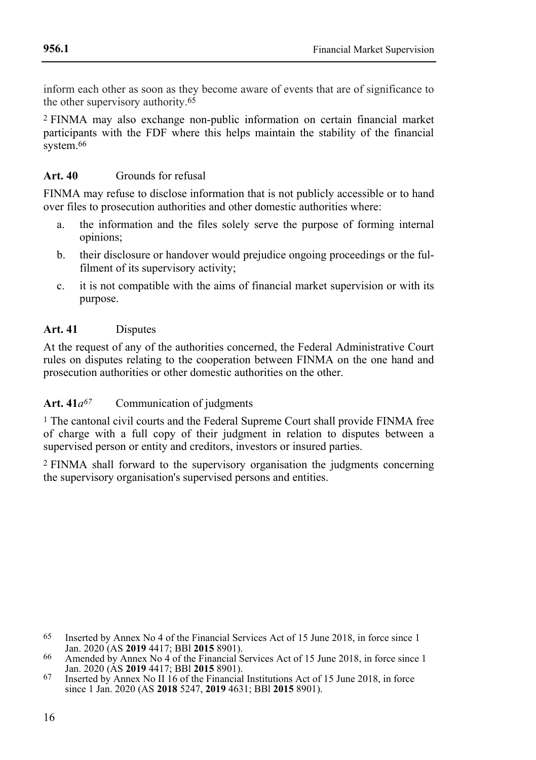inform each other as soon as they become aware of events that are of significance to the other supervisory authority.65

2 FINMA may also exchange non-public information on certain financial market participants with the FDF where this helps maintain the stability of the financial system.<sup>66</sup>

## **Art. 40** Grounds for refusal

FINMA may refuse to disclose information that is not publicly accessible or to hand over files to prosecution authorities and other domestic authorities where:

- a. the information and the files solely serve the purpose of forming internal opinions;
- b. their disclosure or handover would prejudice ongoing proceedings or the fulfilment of its supervisory activity;
- c. it is not compatible with the aims of financial market supervision or with its purpose.

## **Art. 41** Disputes

At the request of any of the authorities concerned, the Federal Administrative Court rules on disputes relating to the cooperation between FINMA on the one hand and prosecution authorities or other domestic authorities on the other.

## Art. 41*a*<sup>67</sup> Communication of judgments

<sup>1</sup> The cantonal civil courts and the Federal Supreme Court shall provide FINMA free of charge with a full copy of their judgment in relation to disputes between a supervised person or entity and creditors, investors or insured parties.

2 FINMA shall forward to the supervisory organisation the judgments concerning the supervisory organisation's supervised persons and entities.

<sup>65</sup> Inserted by Annex No 4 of the Financial Services Act of 15 June 2018, in force since 1 Jan. 2020 (AS **2019** 4417; BBl **2015** 8901).

<sup>66</sup> Amended by Annex No 4 of the Financial Services Act of 15 June 2018, in force since 1 Jan. 2020 (AS **2019** 4417; BBl **2015** 8901).

<sup>67</sup> Inserted by Annex No II 16 of the Financial Institutions Act of 15 June 2018, in force since 1 Jan. 2020 (AS **2018** 5247, **2019** 4631; BBl **2015** 8901).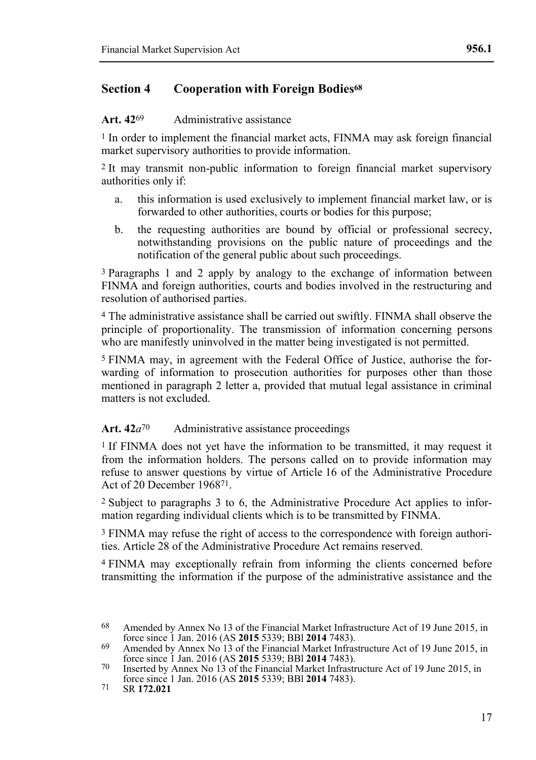## **Section 4 Cooperation with Foreign Bodies<sup>68</sup>**

#### **Art. 42**69 Administrative assistance

1 In order to implement the financial market acts, FINMA may ask foreign financial market supervisory authorities to provide information.

2 It may transmit non-public information to foreign financial market supervisory authorities only if:

- a. this information is used exclusively to implement financial market law, or is forwarded to other authorities, courts or bodies for this purpose;
- b. the requesting authorities are bound by official or professional secrecy, notwithstanding provisions on the public nature of proceedings and the notification of the general public about such proceedings.

3 Paragraphs 1 and 2 apply by analogy to the exchange of information between FINMA and foreign authorities, courts and bodies involved in the restructuring and resolution of authorised parties.

4 The administrative assistance shall be carried out swiftly. FINMA shall observe the principle of proportionality. The transmission of information concerning persons who are manifestly uninvolved in the matter being investigated is not permitted.

5 FINMA may, in agreement with the Federal Office of Justice, authorise the forwarding of information to prosecution authorities for purposes other than those mentioned in paragraph 2 letter a, provided that mutual legal assistance in criminal matters is not excluded.

#### Art. 42*a*<sup>70</sup> Administrative assistance proceedings

1 If FINMA does not yet have the information to be transmitted, it may request it from the information holders. The persons called on to provide information may refuse to answer questions by virtue of Article 16 of the Administrative Procedure Act of 20 December 196871.

2 Subject to paragraphs 3 to 6, the Administrative Procedure Act applies to information regarding individual clients which is to be transmitted by FINMA.

3 FINMA may refuse the right of access to the correspondence with foreign authorities. Article 28 of the Administrative Procedure Act remains reserved.

4 FINMA may exceptionally refrain from informing the clients concerned before transmitting the information if the purpose of the administrative assistance and the

<sup>68</sup> Amended by Annex No 13 of the Financial Market Infrastructure Act of 19 June 2015, in force since 1 Jan. 2016 (AS **2015** 5339; BBl **2014** 7483).

<sup>&</sup>lt;sup>69</sup> Amended by Annex No 13 of the Financial Market Infrastructure Act of 19 June 2015, in force since 1 Jan. 2016 (AS **2015** 5339; BBl **2014** 7483).

<sup>70</sup> Inserted by Annex No 13 of the Financial Market Infrastructure Act of 19 June 2015, in force since 1 Jan. 2016 (AS **2015** 5339; BBl **2014** 7483).

<sup>71</sup> SR **172.021**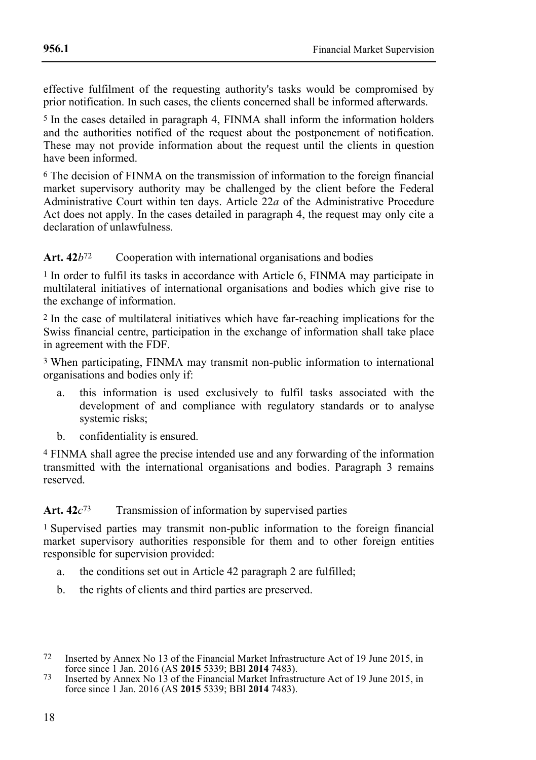effective fulfilment of the requesting authority's tasks would be compromised by prior notification. In such cases, the clients concerned shall be informed afterwards.

5 In the cases detailed in paragraph 4, FINMA shall inform the information holders and the authorities notified of the request about the postponement of notification. These may not provide information about the request until the clients in question have been informed.

6 The decision of FINMA on the transmission of information to the foreign financial market supervisory authority may be challenged by the client before the Federal Administrative Court within ten days. Article 22*a* of the Administrative Procedure Act does not apply. In the cases detailed in paragraph 4, the request may only cite a declaration of unlawfulness.

#### Art. 42*b*<sup>72</sup> Cooperation with international organisations and bodies

<sup>1</sup> In order to fulfil its tasks in accordance with Article 6, FINMA may participate in multilateral initiatives of international organisations and bodies which give rise to the exchange of information.

2 In the case of multilateral initiatives which have far-reaching implications for the Swiss financial centre, participation in the exchange of information shall take place in agreement with the FDF.

3 When participating, FINMA may transmit non-public information to international organisations and bodies only if:

- a. this information is used exclusively to fulfil tasks associated with the development of and compliance with regulatory standards or to analyse systemic risks;
- b. confidentiality is ensured.

4 FINMA shall agree the precise intended use and any forwarding of the information transmitted with the international organisations and bodies. Paragraph 3 remains reserved.

#### Art. 42*c*<sup>73</sup> Transmission of information by supervised parties

1 Supervised parties may transmit non-public information to the foreign financial market supervisory authorities responsible for them and to other foreign entities responsible for supervision provided:

- a. the conditions set out in Article 42 paragraph 2 are fulfilled;
- b. the rights of clients and third parties are preserved.

<sup>72</sup> Inserted by Annex No 13 of the Financial Market Infrastructure Act of 19 June 2015, in force since 1 Jan. 2016 (AS **2015** 5339; BBl **2014** 7483).

<sup>73</sup> Inserted by Annex No 13 of the Financial Market Infrastructure Act of 19 June 2015, in force since 1 Jan. 2016 (AS **2015** 5339; BBl **2014** 7483).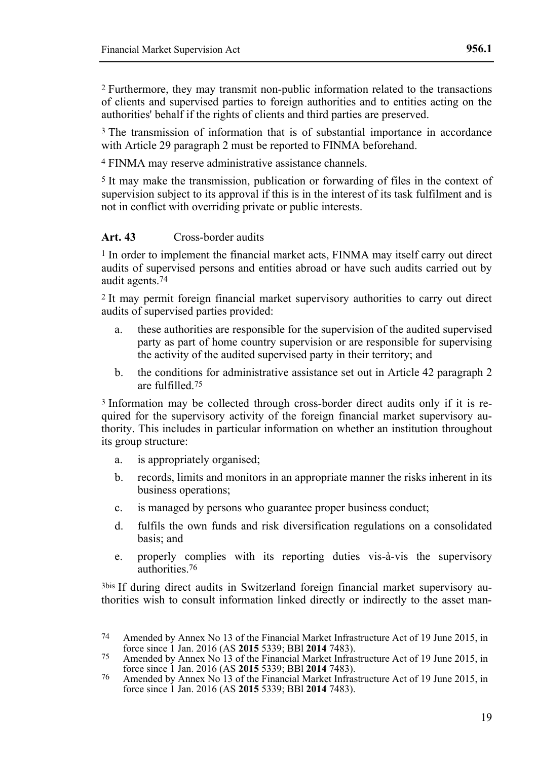2 Furthermore, they may transmit non-public information related to the transactions of clients and supervised parties to foreign authorities and to entities acting on the authorities' behalf if the rights of clients and third parties are preserved.

<sup>3</sup> The transmission of information that is of substantial importance in accordance with Article 29 paragraph 2 must be reported to FINMA beforehand.

4 FINMA may reserve administrative assistance channels.

5 It may make the transmission, publication or forwarding of files in the context of supervision subject to its approval if this is in the interest of its task fulfilment and is not in conflict with overriding private or public interests.

#### **Art. 43** Cross-border audits

1 In order to implement the financial market acts, FINMA may itself carry out direct audits of supervised persons and entities abroad or have such audits carried out by audit agents.74

2 It may permit foreign financial market supervisory authorities to carry out direct audits of supervised parties provided:

- a. these authorities are responsible for the supervision of the audited supervised party as part of home country supervision or are responsible for supervising the activity of the audited supervised party in their territory; and
- b. the conditions for administrative assistance set out in Article 42 paragraph 2 are fulfilled.75

3 Information may be collected through cross-border direct audits only if it is required for the supervisory activity of the foreign financial market supervisory authority. This includes in particular information on whether an institution throughout its group structure:

- a. is appropriately organised;
- b. records, limits and monitors in an appropriate manner the risks inherent in its business operations;
- c. is managed by persons who guarantee proper business conduct;
- d. fulfils the own funds and risk diversification regulations on a consolidated basis; and
- e. properly complies with its reporting duties vis-à-vis the supervisory authorities.76

3bis If during direct audits in Switzerland foreign financial market supervisory authorities wish to consult information linked directly or indirectly to the asset man-

<sup>74</sup> Amended by Annex No 13 of the Financial Market Infrastructure Act of 19 June 2015, in force since 1 Jan. 2016 (AS **2015** 5339; BBl **2014** 7483).

<sup>75</sup> Amended by Annex No 13 of the Financial Market Infrastructure Act of 19 June 2015, in force since 1 Jan. 2016 (AS **2015** 5339; BBl **2014** 7483).

<sup>76</sup> Amended by Annex No 13 of the Financial Market Infrastructure Act of 19 June 2015, in force since 1 Jan. 2016 (AS **2015** 5339; BBl **2014** 7483).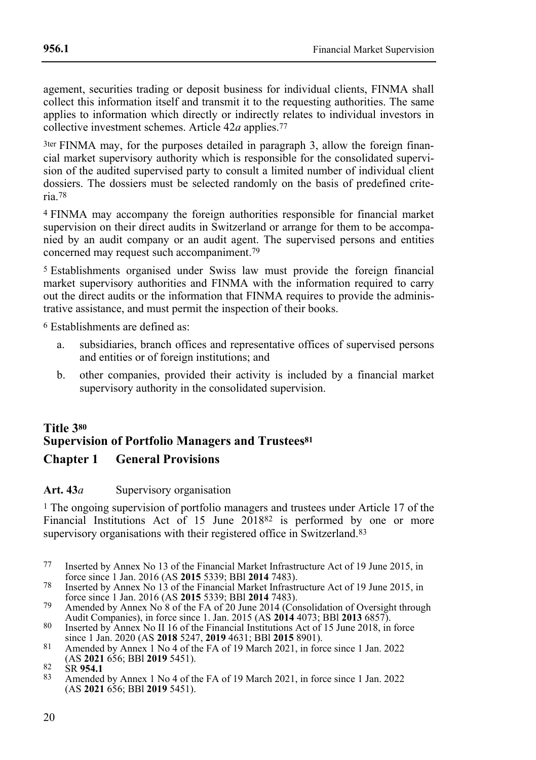agement, securities trading or deposit business for individual clients, FINMA shall collect this information itself and transmit it to the requesting authorities. The same applies to information which directly or indirectly relates to individual investors in collective investment schemes. Article 42*a* applies.77

3ter FINMA may, for the purposes detailed in paragraph 3, allow the foreign financial market supervisory authority which is responsible for the consolidated supervision of the audited supervised party to consult a limited number of individual client dossiers. The dossiers must be selected randomly on the basis of predefined criteria.78

4 FINMA may accompany the foreign authorities responsible for financial market supervision on their direct audits in Switzerland or arrange for them to be accompanied by an audit company or an audit agent. The supervised persons and entities concerned may request such accompaniment.79

5 Establishments organised under Swiss law must provide the foreign financial market supervisory authorities and FINMA with the information required to carry out the direct audits or the information that FINMA requires to provide the administrative assistance, and must permit the inspection of their books.

6 Establishments are defined as:

- a. subsidiaries, branch offices and representative offices of supervised persons and entities or of foreign institutions; and
- b. other companies, provided their activity is included by a financial market supervisory authority in the consolidated supervision.

## **Title 3<sup>80</sup> Supervision of Portfolio Managers and Trustees<sup>81</sup> Chapter 1 General Provisions**

## Art. 43*a* Supervisory organisation

1 The ongoing supervision of portfolio managers and trustees under Article 17 of the Financial Institutions Act of 15 June 201882 is performed by one or more supervisory organisations with their registered office in Switzerland.<sup>83</sup>

- 77 Inserted by Annex No 13 of the Financial Market Infrastructure Act of 19 June 2015, in force since 1 Jan. 2016 (AS **2015** 5339; BBl **2014** 7483).
- 78 Inserted by Annex No 13 of the Financial Market Infrastructure Act of 19 June 2015, in force since 1 Jan. 2016 (AS **2015** 5339; BBl **2014** 7483).
- <sup>79</sup> Amended by Annex No 8 of the FA of 20 June 2014 (Consolidation of Oversight through Audit Companies), in force since 1. Jan. 2015 (AS **2014** 4073; BBl **2013** 6857).
- 80 Inserted by Annex No II 16 of the Financial Institutions Act of 15 June 2018, in force since 1 Jan. 2020 (AS **2018** 5247, **2019** 4631; BBl **2015** 8901).
- 81 Amended by Annex 1 No 4 of the FA of 19 March 2021, in force since 1 Jan. 2022 (AS **2021** 656; BBl **2019** 5451).

83 Amended by Annex 1 No 4 of the FA of 19 March 2021, in force since 1 Jan. 2022 (AS **2021** 656; BBl **2019** 5451).

<sup>82</sup> SR **954.1**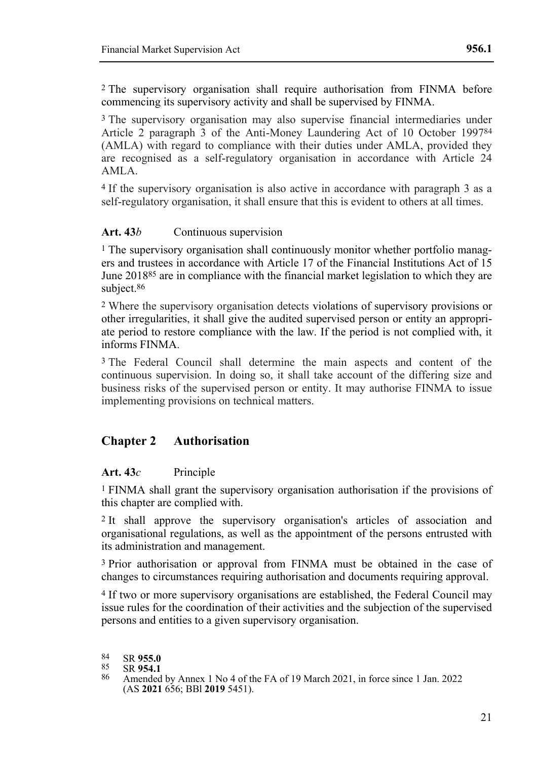2 The supervisory organisation shall require authorisation from FINMA before commencing its supervisory activity and shall be supervised by FINMA.

3 The supervisory organisation may also supervise financial intermediaries under Article 2 paragraph 3 of the Anti-Money Laundering Act of 10 October 199784 (AMLA) with regard to compliance with their duties under AMLA, provided they are recognised as a self-regulatory organisation in accordance with Article 24 AMLA.

4 If the supervisory organisation is also active in accordance with paragraph 3 as a self-regulatory organisation, it shall ensure that this is evident to others at all times.

## Art. 43*b* Continuous supervision

1 The supervisory organisation shall continuously monitor whether portfolio managers and trustees in accordance with Article 17 of the Financial Institutions Act of 15 June 201885 are in compliance with the financial market legislation to which they are subject.86

2 Where the supervisory organisation detects violations of supervisory provisions or other irregularities, it shall give the audited supervised person or entity an appropriate period to restore compliance with the law. If the period is not complied with, it informs FINMA.

3 The Federal Council shall determine the main aspects and content of the continuous supervision. In doing so, it shall take account of the differing size and business risks of the supervised person or entity. It may authorise FINMA to issue implementing provisions on technical matters.

## **Chapter 2 Authorisation**

## **Art. 43***c* Principle

1 FINMA shall grant the supervisory organisation authorisation if the provisions of this chapter are complied with.

2 It shall approve the supervisory organisation's articles of association and organisational regulations, as well as the appointment of the persons entrusted with its administration and management.

3 Prior authorisation or approval from FINMA must be obtained in the case of changes to circumstances requiring authorisation and documents requiring approval.

4 If two or more supervisory organisations are established, the Federal Council may issue rules for the coordination of their activities and the subjection of the supervised persons and entities to a given supervisory organisation.

84 SR **955.0**<br>85 SR **954.1** 

85 SR **954.1**

<sup>86</sup> Amended by Annex 1 No 4 of the FA of 19 March 2021, in force since 1 Jan. 2022 (AS **2021** 656; BBl **2019** 5451).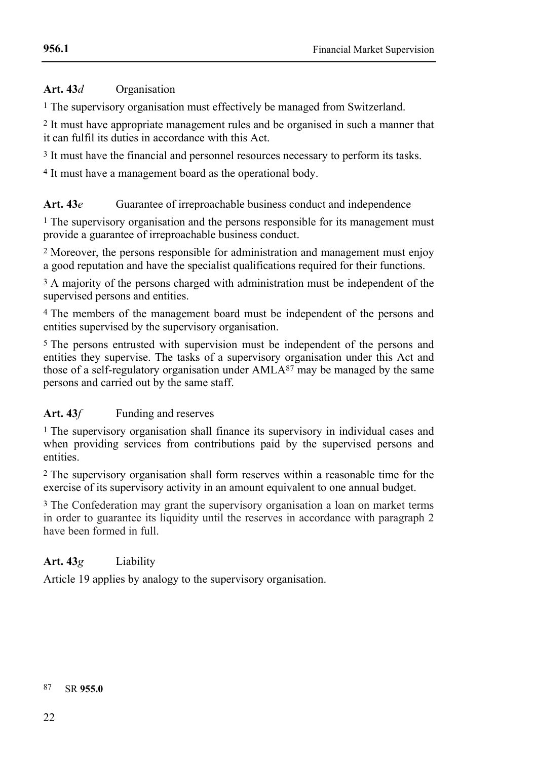## **Art. 43***d* Organisation

<sup>1</sup> The supervisory organisation must effectively be managed from Switzerland.

2 It must have appropriate management rules and be organised in such a manner that it can fulfil its duties in accordance with this Act.

3 It must have the financial and personnel resources necessary to perform its tasks.

4 It must have a management board as the operational body.

## Art. 43*e* Guarantee of irreproachable business conduct and independence

<sup>1</sup> The supervisory organisation and the persons responsible for its management must provide a guarantee of irreproachable business conduct.

2 Moreover, the persons responsible for administration and management must enjoy a good reputation and have the specialist qualifications required for their functions.

<sup>3</sup> A majority of the persons charged with administration must be independent of the supervised persons and entities.

4 The members of the management board must be independent of the persons and entities supervised by the supervisory organisation.

5 The persons entrusted with supervision must be independent of the persons and entities they supervise. The tasks of a supervisory organisation under this Act and those of a self-regulatory organisation under AMLA87 may be managed by the same persons and carried out by the same staff.

## Art. 43*f* Funding and reserves

1 The supervisory organisation shall finance its supervisory in individual cases and when providing services from contributions paid by the supervised persons and entities.

2 The supervisory organisation shall form reserves within a reasonable time for the exercise of its supervisory activity in an amount equivalent to one annual budget.

3 The Confederation may grant the supervisory organisation a loan on market terms in order to guarantee its liquidity until the reserves in accordance with paragraph 2 have been formed in full.

## **Art. 43***g* Liability

Article 19 applies by analogy to the supervisory organisation.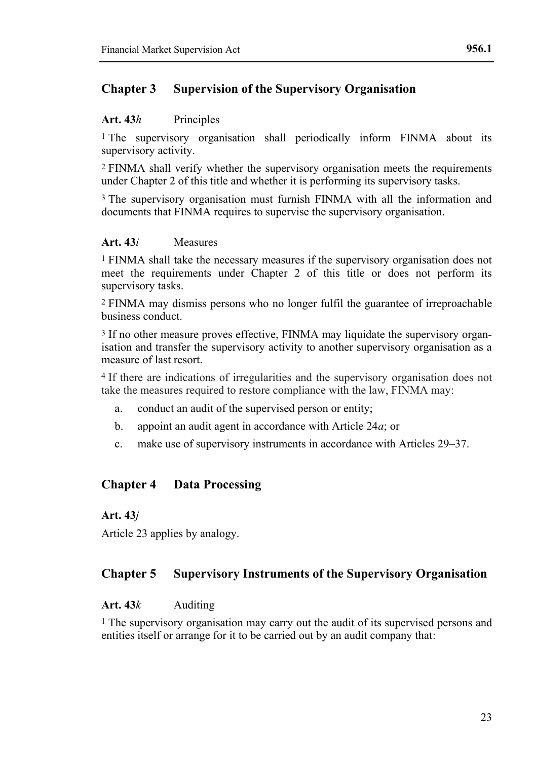## **Chapter 3 Supervision of the Supervisory Organisation**

## **Art. 43***h* Principles

<sup>1</sup> The supervisory organisation shall periodically inform FINMA about its supervisory activity.

2 FINMA shall verify whether the supervisory organisation meets the requirements under Chapter 2 of this title and whether it is performing its supervisory tasks.

3 The supervisory organisation must furnish FINMA with all the information and documents that FINMA requires to supervise the supervisory organisation.

## **Art. 43***i* Measures

1 FINMA shall take the necessary measures if the supervisory organisation does not meet the requirements under Chapter 2 of this title or does not perform its supervisory tasks.

2 FINMA may dismiss persons who no longer fulfil the guarantee of irreproachable business conduct.

3 If no other measure proves effective, FINMA may liquidate the supervisory organisation and transfer the supervisory activity to another supervisory organisation as a measure of last resort.

4 If there are indications of irregularities and the supervisory organisation does not take the measures required to restore compliance with the law, FINMA may:

- a. conduct an audit of the supervised person or entity;
- b. appoint an audit agent in accordance with Article 24*a*; or
- c. make use of supervisory instruments in accordance with Articles 29–37.

## **Chapter 4 Data Processing**

## **Art. 43***j*

Article 23 applies by analogy.

## **Chapter 5 Supervisory Instruments of the Supervisory Organisation**

## **Art. 43***k* Auditing

1 The supervisory organisation may carry out the audit of its supervised persons and entities itself or arrange for it to be carried out by an audit company that: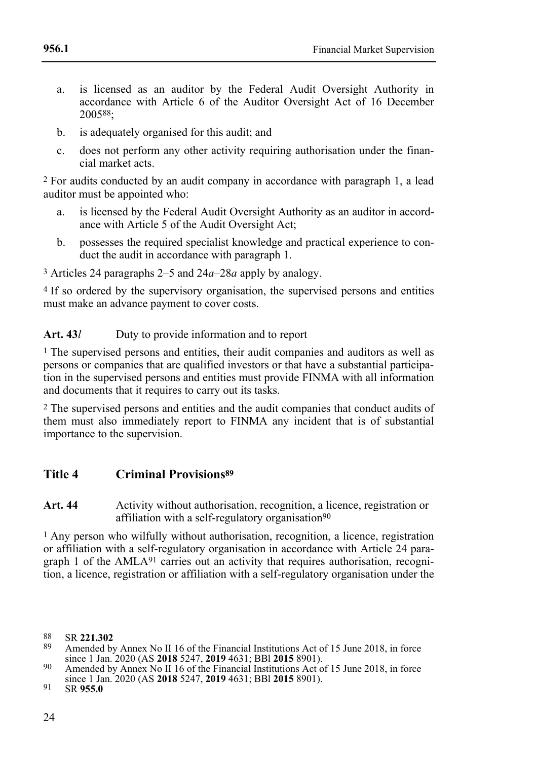- a. is licensed as an auditor by the Federal Audit Oversight Authority in accordance with Article 6 of the Auditor Oversight Act of 16 December 200588;
- b. is adequately organised for this audit; and
- c. does not perform any other activity requiring authorisation under the financial market acts.

2 For audits conducted by an audit company in accordance with paragraph 1, a lead auditor must be appointed who:

- a. is licensed by the Federal Audit Oversight Authority as an auditor in accordance with Article 5 of the Audit Oversight Act;
- b. possesses the required specialist knowledge and practical experience to conduct the audit in accordance with paragraph 1.

3 Articles 24 paragraphs 2–5 and 24*a*–28*a* apply by analogy.

<sup>4</sup> If so ordered by the supervisory organisation, the supervised persons and entities must make an advance payment to cover costs.

## Art. 43*l* Duty to provide information and to report

<sup>1</sup> The supervised persons and entities, their audit companies and auditors as well as persons or companies that are qualified investors or that have a substantial participation in the supervised persons and entities must provide FINMA with all information and documents that it requires to carry out its tasks.

2 The supervised persons and entities and the audit companies that conduct audits of them must also immediately report to FINMA any incident that is of substantial importance to the supervision.

## **Title 4 Criminal Provisions<sup>89</sup>**

**Art. 44** Activity without authorisation, recognition, a licence, registration or affiliation with a self-regulatory organisation<sup>90</sup>

1 Any person who wilfully without authorisation, recognition, a licence, registration or affiliation with a self-regulatory organisation in accordance with Article 24 paragraph 1 of the AMLA91 carries out an activity that requires authorisation, recognition, a licence, registration or affiliation with a self-regulatory organisation under the

<sup>88</sup> SR **221.302**

Amended by Annex No II 16 of the Financial Institutions Act of 15 June 2018, in force since 1 Jan. 2020 (AS **2018** 5247, **2019** 4631; BBl **2015** 8901).

<sup>90</sup> Amended by Annex No II 16 of the Financial Institutions Act of 15 June 2018, in force since 1 Jan. 2020 (AS **2018** 5247, **2019** 4631; BBl **2015** 8901).

<sup>91</sup> SR **955.0**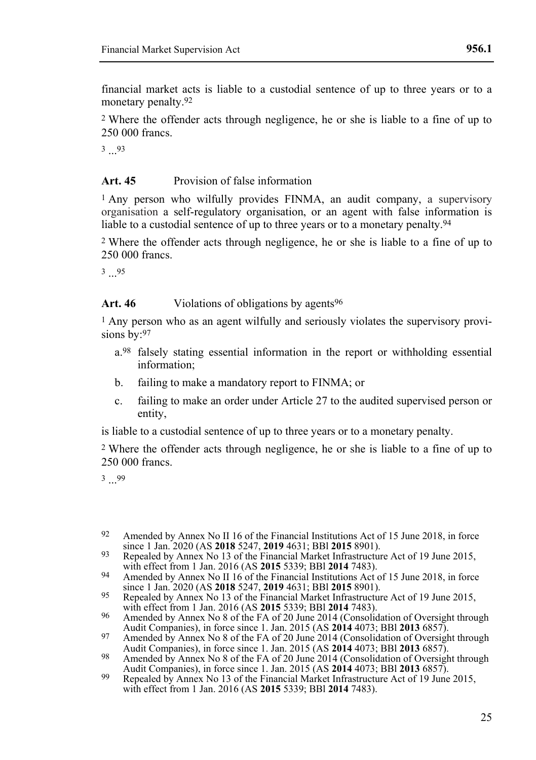financial market acts is liable to a custodial sentence of up to three years or to a monetary penalty.92

2 Where the offender acts through negligence, he or she is liable to a fine of up to 250 000 francs.

3 ... 93

## **Art. 45** Provision of false information

1 Any person who wilfully provides FINMA, an audit company, a supervisory organisation a self-regulatory organisation, or an agent with false information is liable to a custodial sentence of up to three years or to a monetary penalty.<sup>94</sup>

2 Where the offender acts through negligence, he or she is liable to a fine of up to 250 000 francs.

3 ... 95

#### Art. 46 Violations of obligations by agents<sup>96</sup>

<sup>1</sup> Any person who as an agent wilfully and seriously violates the supervisory provisions by:97

- a.98 falsely stating essential information in the report or withholding essential information;
- b. failing to make a mandatory report to FINMA; or
- c. failing to make an order under Article 27 to the audited supervised person or entity,

is liable to a custodial sentence of up to three years or to a monetary penalty.

2 Where the offender acts through negligence, he or she is liable to a fine of up to 250 000 francs.

3 ... 99

- 92 Amended by Annex No II 16 of the Financial Institutions Act of 15 June 2018, in force since 1 Jan. 2020 (AS **2018** 5247, **2019** 4631; BBl **2015** 8901).
- 93 Repealed by Annex No 13 of the Financial Market Infrastructure Act of 19 June 2015, with effect from 1 Jan. 2016 (AS **2015** 5339; BBl **2014** 7483).
- 94 Amended by Annex No II 16 of the Financial Institutions Act of 15 June 2018, in force since 1 Jan. 2020 (AS **2018** 5247, **2019** 4631; BBl **2015** 8901).
- 95 Repealed by Annex No 13 of the Financial Market Infrastructure Act of 19 June 2015, with effect from 1 Jan. 2016 (AS **2015** 5339; BBl **2014** 7483).
- 96 Amended by Annex No 8 of the FA of 20 June 2014 (Consolidation of Oversight through Audit Companies), in force since 1. Jan. 2015 (AS **2014** 4073; BBl **2013** 6857).
- 97 Amended by Annex No 8 of the FA of 20 June 2014 (Consolidation of Oversight through
- Audit Companies), in force since 1. Jan. 2015 (AS **2014** 4073; BBI **2013** 6857).<br><sup>98</sup> Amended by Annex No 8 of the FA of 20 June 2014 (Consolidation of Oversight through Audit Companies), in force since 1. Jan. 2015 (AS **2014** 4073; BBl **2013** 6857).
- 99 Repealed by Annex No 13 of the Financial Market Infrastructure Act of 19 June 2015, with effect from 1 Jan. 2016 (AS **2015** 5339; BBl **2014** 7483).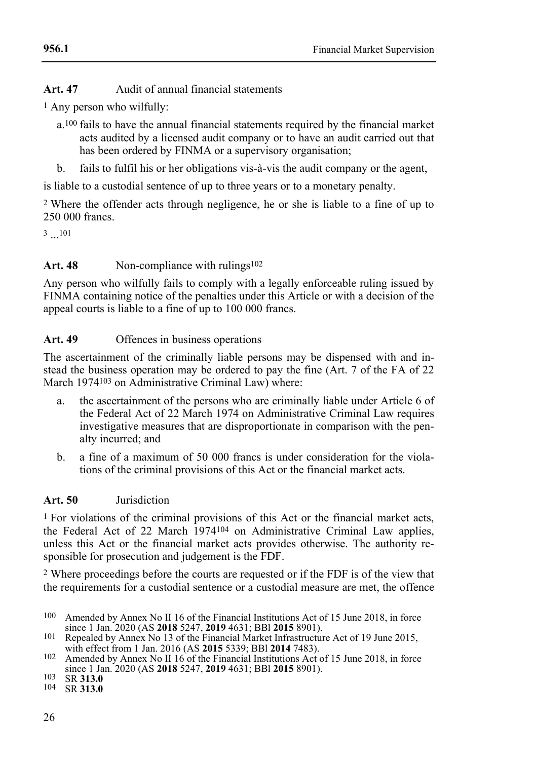## **Art. 47** Audit of annual financial statements

1 Any person who wilfully:

- a.100 fails to have the annual financial statements required by the financial market acts audited by a licensed audit company or to have an audit carried out that has been ordered by FINMA or a supervisory organisation;
- b. fails to fulfil his or her obligations vis-à-vis the audit company or the agent,

is liable to a custodial sentence of up to three years or to a monetary penalty.

2 Where the offender acts through negligence, he or she is liable to a fine of up to 250 000 francs.

 $3 \dots 101$ 

## Art. 48 Non-compliance with rulings<sup>102</sup>

Any person who wilfully fails to comply with a legally enforceable ruling issued by FINMA containing notice of the penalties under this Article or with a decision of the appeal courts is liable to a fine of up to 100 000 francs.

## **Art. 49** Offences in business operations

The ascertainment of the criminally liable persons may be dispensed with and instead the business operation may be ordered to pay the fine (Art. 7 of the FA of 22 March 1974103 on Administrative Criminal Law) where:

- a. the ascertainment of the persons who are criminally liable under Article 6 of the Federal Act of 22 March 1974 on Administrative Criminal Law requires investigative measures that are disproportionate in comparison with the penalty incurred; and
- b. a fine of a maximum of 50 000 francs is under consideration for the violations of the criminal provisions of this Act or the financial market acts.

## **Art. 50** Jurisdiction

1 For violations of the criminal provisions of this Act or the financial market acts, the Federal Act of 22 March 1974104 on Administrative Criminal Law applies, unless this Act or the financial market acts provides otherwise. The authority responsible for prosecution and judgement is the FDF.

2 Where proceedings before the courts are requested or if the FDF is of the view that the requirements for a custodial sentence or a custodial measure are met, the offence

<sup>100</sup> Amended by Annex No II 16 of the Financial Institutions Act of 15 June 2018, in force since 1 Jan. 2020 (AS **2018** 5247, **2019** 4631; BBl **2015** 8901).

<sup>101</sup> Repealed by Annex No 13 of the Financial Market Infrastructure Act of 19 June 2015, with effect from 1 Jan. 2016 (AS **2015** 5339; BBl **2014** 7483).

<sup>&</sup>lt;sup>102</sup> Amended by Annex No II 16 of the Financial Institutions Act of 15 June 2018, in force since 1 Jan. 2020 (AS **2018** 5247, **2019** 4631; BBl **2015** 8901).

<sup>103</sup> SR **313.0**

<sup>104</sup> SR **313.0**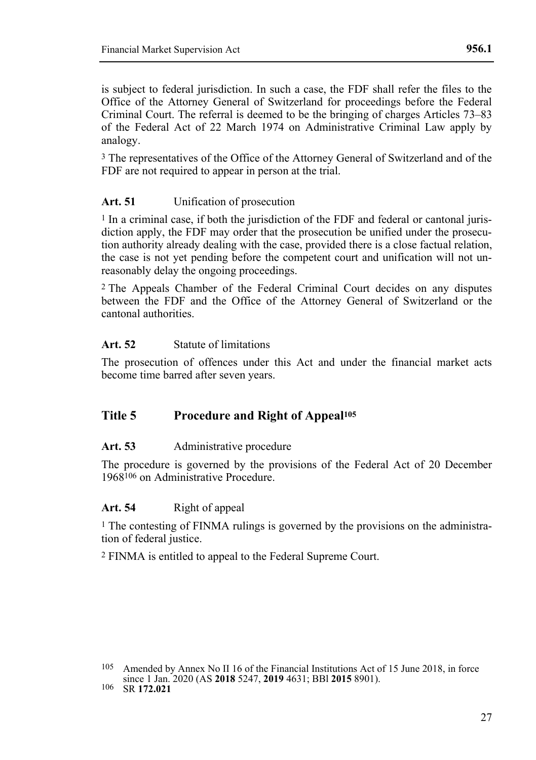is subject to federal jurisdiction. In such a case, the FDF shall refer the files to the Office of the Attorney General of Switzerland for proceedings before the Federal Criminal Court. The referral is deemed to be the bringing of charges Articles 73–83 of the Federal Act of 22 March 1974 on Administrative Criminal Law apply by analogy.

3 The representatives of the Office of the Attorney General of Switzerland and of the FDF are not required to appear in person at the trial.

## **Art. 51** Unification of prosecution

1 In a criminal case, if both the jurisdiction of the FDF and federal or cantonal jurisdiction apply, the FDF may order that the prosecution be unified under the prosecution authority already dealing with the case, provided there is a close factual relation, the case is not yet pending before the competent court and unification will not unreasonably delay the ongoing proceedings.

2 The Appeals Chamber of the Federal Criminal Court decides on any disputes between the FDF and the Office of the Attorney General of Switzerland or the cantonal authorities.

## **Art. 52** Statute of limitations

The prosecution of offences under this Act and under the financial market acts become time barred after seven years.

## **Title 5 Procedure and Right of Appeal<sup>105</sup>**

## **Art. 53** Administrative procedure

The procedure is governed by the provisions of the Federal Act of 20 December 1968106 on Administrative Procedure.

## **Art. 54** Right of appeal

1 The contesting of FINMA rulings is governed by the provisions on the administration of federal justice.

2 FINMA is entitled to appeal to the Federal Supreme Court.

106 SR **172.021**

<sup>105</sup> Amended by Annex No II 16 of the Financial Institutions Act of 15 June 2018, in force since 1 Jan. 2020 (AS **2018** 5247, **2019** 4631; BBl **2015** 8901).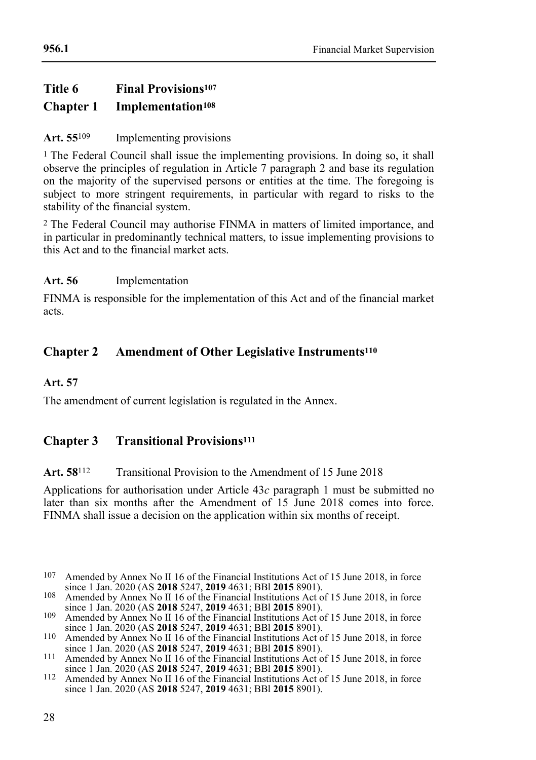## **Title 6 Final Provisions<sup>107</sup> Chapter 1 Implementation<sup>108</sup>**

## **Art. 55**109 Implementing provisions

1 The Federal Council shall issue the implementing provisions. In doing so, it shall observe the principles of regulation in Article 7 paragraph 2 and base its regulation on the majority of the supervised persons or entities at the time. The foregoing is subject to more stringent requirements, in particular with regard to risks to the stability of the financial system.

2 The Federal Council may authorise FINMA in matters of limited importance, and in particular in predominantly technical matters, to issue implementing provisions to this Act and to the financial market acts.

## **Art. 56** Implementation

FINMA is responsible for the implementation of this Act and of the financial market acts.

## **Chapter 2 Amendment of Other Legislative Instruments<sup>110</sup>**

## **Art. 57**

The amendment of current legislation is regulated in the Annex.

## **Chapter 3 Transitional Provisions<sup>111</sup>**

## **Art. 58**112 Transitional Provision to the Amendment of 15 June 2018

Applications for authorisation under Article 43*c* paragraph 1 must be submitted no later than six months after the Amendment of 15 June 2018 comes into force. FINMA shall issue a decision on the application within six months of receipt.

<sup>107</sup> Amended by Annex No II 16 of the Financial Institutions Act of 15 June 2018, in force since 1 Jan. 2020 (AS **2018** 5247, **2019** 4631; BBl **2015** 8901).

<sup>108</sup> Amended by Annex No II 16 of the Financial Institutions Act of 15 June 2018, in force since 1 Jan. 2020 (AS **2018** 5247, **2019** 4631; BBl **2015** 8901).

<sup>109</sup> Amended by Annex No II 16 of the Financial Institutions Act of 15 June 2018, in force since 1 Jan. 2020 (AS **2018** 5247, **2019** 4631; BBl **2015** 8901).

<sup>110</sup> Amended by Annex No II 16 of the Financial Institutions Act of 15 June 2018, in force since 1 Jan. 2020 (AS **2018** 5247, **2019** 4631; BBl **2015** 8901).

<sup>&</sup>lt;sup>111</sup> Amended by Annex No II 16 of the Financial Institutions Act of 15 June 2018, in force since 1 Jan. 2020 (AS **2018** 5247, **2019** 4631; BBl **2015** 8901).

<sup>112</sup> Amended by Annex No II 16 of the Financial Institutions Act of 15 June 2018, in force since 1 Jan. 2020 (AS **2018** 5247, **2019** 4631; BBl **2015** 8901).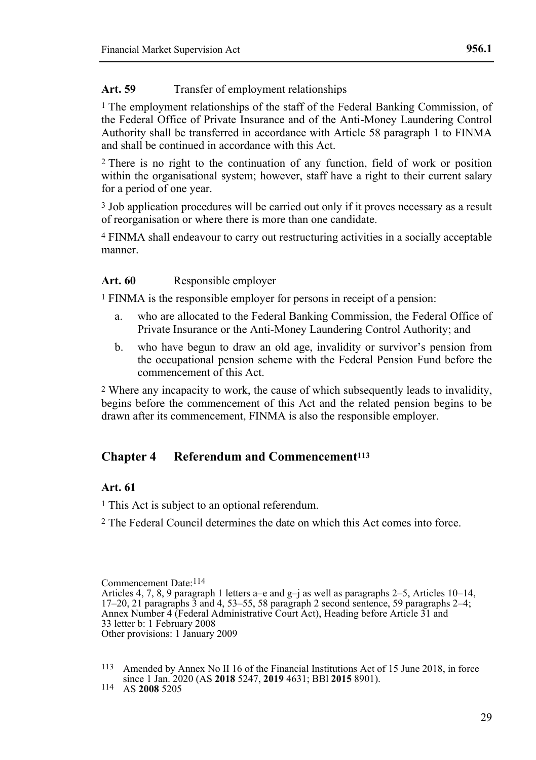## Art. 59 Transfer of employment relationships

1 The employment relationships of the staff of the Federal Banking Commission, of the Federal Office of Private Insurance and of the Anti-Money Laundering Control Authority shall be transferred in accordance with Article 58 paragraph 1 to FINMA and shall be continued in accordance with this Act.

2 There is no right to the continuation of any function, field of work or position within the organisational system; however, staff have a right to their current salary for a period of one year.

3 Job application procedures will be carried out only if it proves necessary as a result of reorganisation or where there is more than one candidate.

4 FINMA shall endeavour to carry out restructuring activities in a socially acceptable manner.

## **Art. 60** Responsible employer

1 FINMA is the responsible employer for persons in receipt of a pension:

- a. who are allocated to the Federal Banking Commission, the Federal Office of Private Insurance or the Anti-Money Laundering Control Authority; and
- b. who have begun to draw an old age, invalidity or survivor's pension from the occupational pension scheme with the Federal Pension Fund before the commencement of this Act.

2 Where any incapacity to work, the cause of which subsequently leads to invalidity, begins before the commencement of this Act and the related pension begins to be drawn after its commencement, FINMA is also the responsible employer.

## **Chapter 4 Referendum and Commencement<sup>113</sup>**

## **Art. 61**

- <sup>1</sup> This Act is subject to an optional referendum.
- 2 The Federal Council determines the date on which this Act comes into force.

Commencement Date:114

Articles 4, 7, 8, 9 paragraph 1 letters a–e and  $g$ –j as well as paragraphs 2–5, Articles 10–14, 17–20, 21 paragraphs 3 and 4, 53–55, 58 paragraph 2 second sentence, 59 paragraphs 2–4; Annex Number 4 (Federal Administrative Court Act), Heading before Article 31 and 33 letter b: 1 February 2008 Other provisions: 1 January 2009

<sup>113</sup> Amended by Annex No II 16 of the Financial Institutions Act of 15 June 2018, in force since 1 Jan. 2020 (AS **2018** 5247, **2019** 4631; BBl **2015** 8901).

<sup>114</sup> AS **2008** 5205